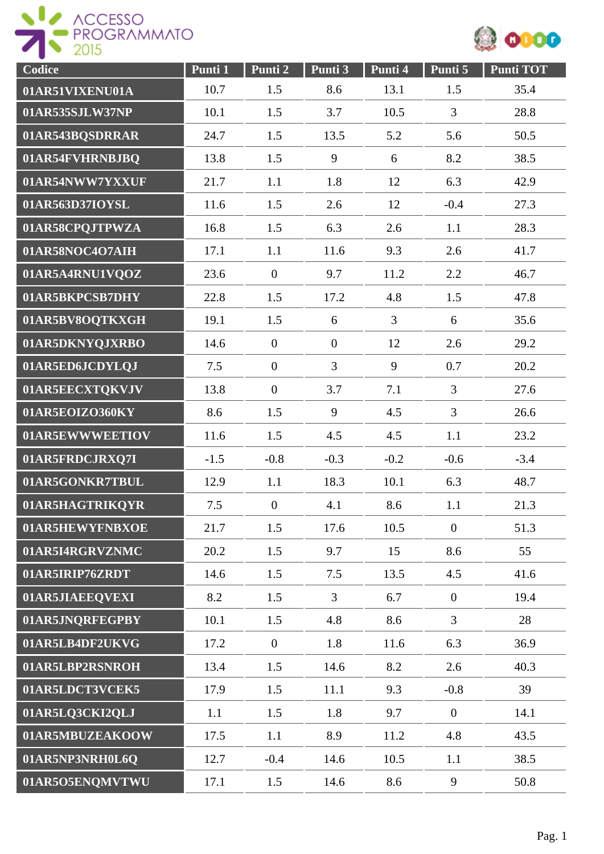



| Codice          | Punti 1 | Punti 2        | Punti 3        | Punti 4        | Punti 5          | <b>Punti TOT</b> |
|-----------------|---------|----------------|----------------|----------------|------------------|------------------|
| 01AR51VIXENU01A | 10.7    | 1.5            | 8.6            | 13.1           | 1.5              | 35.4             |
| 01AR535SJLW37NP | 10.1    | 1.5            | 3.7            | 10.5           | 3                | 28.8             |
| 01AR543BQSDRRAR | 24.7    | 1.5            | 13.5           | 5.2            | 5.6              | 50.5             |
| 01AR54FVHRNBJBQ | 13.8    | 1.5            | 9              | 6              | 8.2              | 38.5             |
| 01AR54NWW7YXXUF | 21.7    | 1.1            | 1.8            | 12             | 6.3              | 42.9             |
| 01AR563D37IOYSL | 11.6    | 1.5            | 2.6            | 12             | $-0.4$           | 27.3             |
| 01AR58CPQJTPWZA | 16.8    | 1.5            | 6.3            | 2.6            | 1.1              | 28.3             |
| 01AR58NOC4O7AIH | 17.1    | 1.1            | 11.6           | 9.3            | 2.6              | 41.7             |
| 01AR5A4RNU1VQOZ | 23.6    | $\overline{0}$ | 9.7            | 11.2           | 2.2              | 46.7             |
| 01AR5BKPCSB7DHY | 22.8    | 1.5            | 17.2           | 4.8            | 1.5              | 47.8             |
| 01AR5BV8OQTKXGH | 19.1    | 1.5            | 6              | $\overline{3}$ | 6                | 35.6             |
| 01AR5DKNYQJXRBO | 14.6    | $\mathbf{0}$   | $\overline{0}$ | 12             | 2.6              | 29.2             |
| 01AR5ED6JCDYLQJ | 7.5     | $\overline{0}$ | $\overline{3}$ | 9              | 0.7              | 20.2             |
| 01AR5EECXTQKVJV | 13.8    | $\overline{0}$ | 3.7            | 7.1            | 3                | 27.6             |
| 01AR5EOIZO360KY | 8.6     | 1.5            | 9              | 4.5            | 3                | 26.6             |
| 01AR5EWWWEETIOV | 11.6    | 1.5            | 4.5            | 4.5            | 1.1              | 23.2             |
| 01AR5FRDCJRXQ7I | $-1.5$  | $-0.8$         | $-0.3$         | $-0.2$         | $-0.6$           | $-3.4$           |
| 01AR5GONKR7TBUL | 12.9    | 1.1            | 18.3           | 10.1           | 6.3              | 48.7             |
| 01AR5HAGTRIKQYR | 7.5     | $\theta$       | 4.1            | 8.6            | 1.1              | 21.3             |
| 01AR5HEWYFNBXOE | 21.7    | 1.5            | 17.6           | 10.5           | $\boldsymbol{0}$ | 51.3             |
| 01AR5I4RGRVZNMC | 20.2    | 1.5            | 9.7            | 15             | 8.6              | 55               |
| 01AR5IRIP76ZRDT | 14.6    | 1.5            | 7.5            | 13.5           | 4.5              | 41.6             |
| 01AR5JIAEEQVEXI | 8.2     | 1.5            | $\overline{3}$ | 6.7            | $\boldsymbol{0}$ | 19.4             |
| 01AR5JNQRFEGPBY | 10.1    | 1.5            | 4.8            | 8.6            | $\overline{3}$   | 28               |
| 01AR5LB4DF2UKVG | 17.2    | $\overline{0}$ | 1.8            | 11.6           | 6.3              | 36.9             |
| 01AR5LBP2RSNROH | 13.4    | 1.5            | 14.6           | 8.2            | 2.6              | 40.3             |
| 01AR5LDCT3VCEK5 | 17.9    | 1.5            | 11.1           | 9.3            | $-0.8$           | 39               |
| 01AR5LQ3CKI2QLJ | 1.1     | 1.5            | 1.8            | 9.7            | $\boldsymbol{0}$ | 14.1             |
| 01AR5MBUZEAKOOW | 17.5    | 1.1            | 8.9            | 11.2           | 4.8              | 43.5             |
| 01AR5NP3NRH0L6Q | 12.7    | $-0.4$         | 14.6           | 10.5           | 1.1              | 38.5             |
| 01AR5O5ENQMVTWU | 17.1    | 1.5            | 14.6           | 8.6            | 9                | 50.8             |